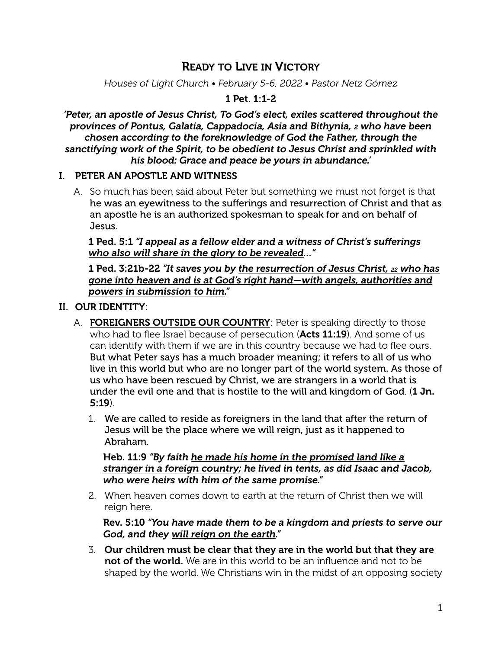# READY TO LIVE IN VICTORY

*Houses of Light Church • February 5-6, 2022 • Pastor Netz Gómez*

#### 1 Pet. 1:1-2

*'Peter, an apostle of Jesus Christ, To God's elect, exiles scattered throughout the provinces of Pontus, Galatia, Cappadocia, Asia and Bithynia, 2 who have been chosen according to the foreknowledge of God the Father, through the sanctifying work of the Spirit, to be obedient to Jesus Christ and sprinkled with his blood: Grace and peace be yours in abundance.'*

### I. PETER AN APOSTLE AND WITNESS

A. So much has been said about Peter but something we must not forget is that he was an eyewitness to the sufferings and resurrection of Christ and that as an apostle he is an authorized spokesman to speak for and on behalf of Jesus.

1 Ped. 5:1 *"I appeal as a fellow elder and a witness of Christ's sufferings who also will share in the glory to be revealed…"*

1 Ped. 3:21b-22 *"It saves you by the resurrection of Jesus Christ, 22 who has gone into heaven and is at God's right hand—with angels, authorities and powers in submission to him."*

#### II. OUR IDENTITY:

- A. FOREIGNERS OUTSIDE OUR COUNTRY: Peter is speaking directly to those who had to flee Israel because of persecution (Acts 11:19). And some of us can identify with them if we are in this country because we had to flee ours. But what Peter says has a much broader meaning; it refers to all of us who live in this world but who are no longer part of the world system. As those of us who have been rescued by Christ, we are strangers in a world that is under the evil one and that is hostile to the will and kingdom of God. (1 Jn. 5:19).
	- 1. We are called to reside as foreigners in the land that after the return of Jesus will be the place where we will reign, just as it happened to Abraham.

Heb. 11:9 *"By faith he made his home in the promised land like a stranger in a foreign country; he lived in tents, as did Isaac and Jacob, who were heirs with him of the same promise."*

2. When heaven comes down to earth at the return of Christ then we will reign here.

Rev. 5:10 *"You have made them to be a kingdom and priests to serve our God, and they will reign on the earth."*

3. Our children must be clear that they are in the world but that they are not of the world. We are in this world to be an influence and not to be shaped by the world. We Christians win in the midst of an opposing society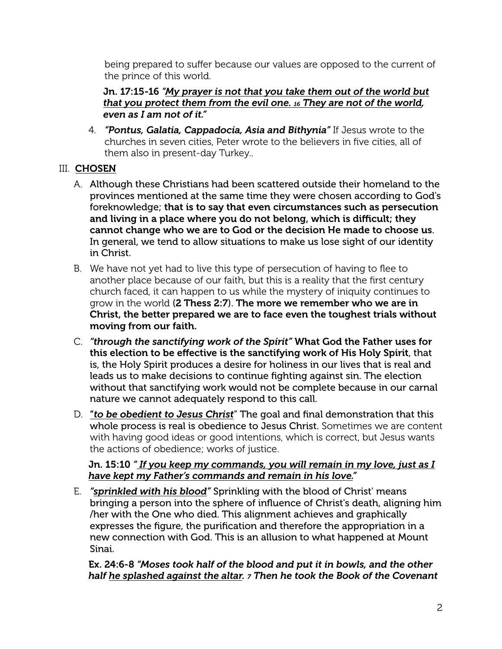being prepared to suffer because our values are opposed to the current of the prince of this world.

Jn. 17:15-16 *"My prayer is not that you take them out of the world but that you protect them from the evil one. 16 They are not of the world, even as I am not of it."*

4. *"Pontus, Galatia, Cappadocia, Asia and Bithynia"* If Jesus wrote to the churches in seven cities, Peter wrote to the believers in five cities, all of them also in present-day Turkey..

# III. CHOSEN

- A. Although these Christians had been scattered outside their homeland to the provinces mentioned at the same time they were chosen according to God's foreknowledge; that is to say that even circumstances such as persecution and living in a place where you do not belong, which is difficult; they cannot change who we are to God or the decision He made to choose us. In general, we tend to allow situations to make us lose sight of our identity in Christ.
- B. We have not yet had to live this type of persecution of having to flee to another place because of our faith, but this is a reality that the first century church faced, it can happen to us while the mystery of iniquity continues to grow in the world (2 Thess 2:7). The more we remember who we are in Christ, the better prepared we are to face even the toughest trials without moving from our faith.
- C. *"through the sanctifying work of the Spirit"* What God the Father uses for this election to be effective is the sanctifying work of His Holy Spirit, that is, the Holy Spirit produces a desire for holiness in our lives that is real and leads us to make decisions to continue fighting against sin. The election without that sanctifying work would not be complete because in our carnal nature we cannot adequately respond to this call.
- D. "*to be obedient to Jesus Christ*" The goal and final demonstration that this whole process is real is obedience to Jesus Christ. Sometimes we are content with having good ideas or good intentions, which is correct, but Jesus wants the actions of obedience; works of justice.

### Jn. 15:10 *" If you keep my commands, you will remain in my love, just as I have kept my Father's commands and remain in his love."*

E. *"sprinkled with his blood"* Sprinkling with the blood of Christ' means bringing a person into the sphere of influence of Christ's death, aligning him /her with the One who died. This alignment achieves and graphically expresses the figure, the purification and therefore the appropriation in a new connection with God. This is an allusion to what happened at Mount Sinai.

Ex. 24:6-8 *"Moses took half of the blood and put it in bowls, and the other half he splashed against the altar. 7 Then he took the Book of the Covenant*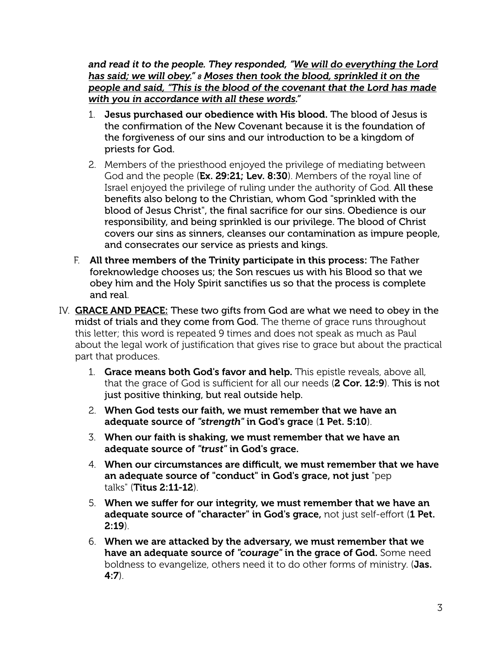*and read it to the people. They responded, "We will do everything the Lord has said; we will obey." 8 Moses then took the blood, sprinkled it on the people and said, "This is the blood of the covenant that the Lord has made with you in accordance with all these words."* 

- 1. Jesus purchased our obedience with His blood. The blood of Jesus is the confirmation of the New Covenant because it is the foundation of the forgiveness of our sins and our introduction to be a kingdom of priests for God.
- 2. Members of the priesthood enjoyed the privilege of mediating between God and the people (Ex. 29:21; Lev. 8:30). Members of the royal line of Israel enjoyed the privilege of ruling under the authority of God. All these benefits also belong to the Christian, whom God "sprinkled with the blood of Jesus Christ", the final sacrifice for our sins. Obedience is our responsibility, and being sprinkled is our privilege. The blood of Christ covers our sins as sinners, cleanses our contamination as impure people, and consecrates our service as priests and kings.
- F. All three members of the Trinity participate in this process: The Father foreknowledge chooses us; the Son rescues us with his Blood so that we obey him and the Holy Spirit sanctifies us so that the process is complete and real.
- IV. GRACE AND PEACE: These two gifts from God are what we need to obey in the midst of trials and they come from God. The theme of grace runs throughout this letter; this word is repeated 9 times and does not speak as much as Paul about the legal work of justification that gives rise to grace but about the practical part that produces.
	- 1. Grace means both God's favor and help. This epistle reveals, above all, that the grace of God is sufficient for all our needs (2 Cor. 12:9). This is not just positive thinking, but real outside help.
	- 2. When God tests our faith, we must remember that we have an adequate source of *"strength"* in God's grace (1 Pet. 5:10).
	- 3. When our faith is shaking, we must remember that we have an adequate source of *"trust"* in God's grace.
	- 4. When our circumstances are difficult, we must remember that we have an adequate source of "conduct" in God's grace, not just "pep talks" (Titus 2:11-12).
	- 5. When we suffer for our integrity, we must remember that we have an adequate source of "character" in God's grace, not just self-effort (1 Pet. 2:19).
	- 6. When we are attacked by the adversary, we must remember that we have an adequate source of *"courage"* in the grace of God. Some need boldness to evangelize, others need it to do other forms of ministry. (Jas.  $4:7$ ).